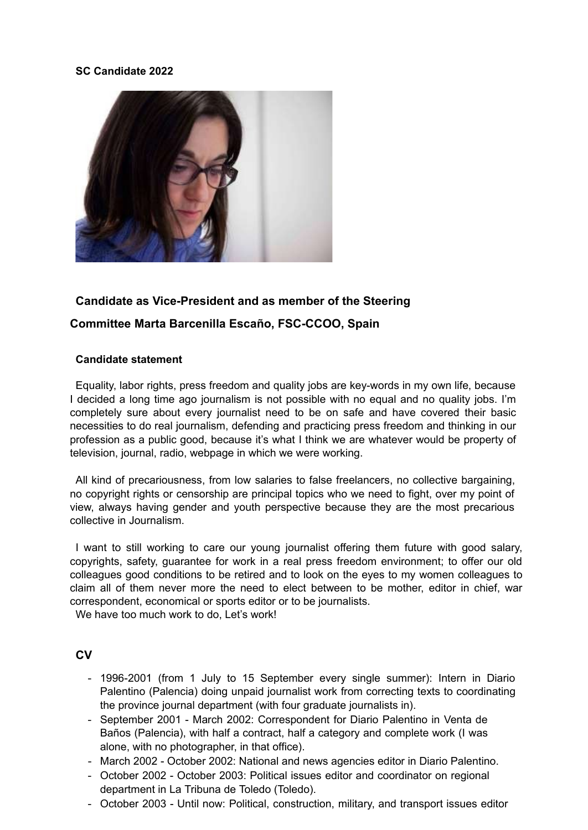### **SC Candidate 2022**



# **Candidate as Vice-President and as member of the Steering**

## **Committee Marta Barcenilla Escaño, FSC-CCOO, Spain**

### **Candidate statement**

Equality, labor rights, press freedom and quality jobs are key-words in my own life, because I decided a long time ago journalism is not possible with no equal and no quality jobs. I'm completely sure about every journalist need to be on safe and have covered their basic necessities to do real journalism, defending and practicing press freedom and thinking in our profession as a public good, because it's what I think we are whatever would be property of television, journal, radio, webpage in which we were working.

All kind of precariousness, from low salaries to false freelancers, no collective bargaining, no copyright rights or censorship are principal topics who we need to fight, over my point of view, always having gender and youth perspective because they are the most precarious collective in Journalism.

I want to still working to care our young journalist offering them future with good salary, copyrights, safety, guarantee for work in a real press freedom environment; to offer our old colleagues good conditions to be retired and to look on the eyes to my women colleagues to claim all of them never more the need to elect between to be mother, editor in chief, war correspondent, economical or sports editor or to be journalists.

We have too much work to do. Let's work!

## **CV**

- 1996-2001 (from 1 July to 15 September every single summer): Intern in Diario Palentino (Palencia) doing unpaid journalist work from correcting texts to coordinating the province journal department (with four graduate journalists in).
- September 2001 March 2002: Correspondent for Diario Palentino in Venta de Baños (Palencia), with half a contract, half a category and complete work (I was alone, with no photographer, in that office).
- March 2002 October 2002: National and news agencies editor in Diario Palentino.
- October 2002 October 2003: Political issues editor and coordinator on regional department in La Tribuna de Toledo (Toledo).
- October 2003 Until now: Political, construction, military, and transport issues editor